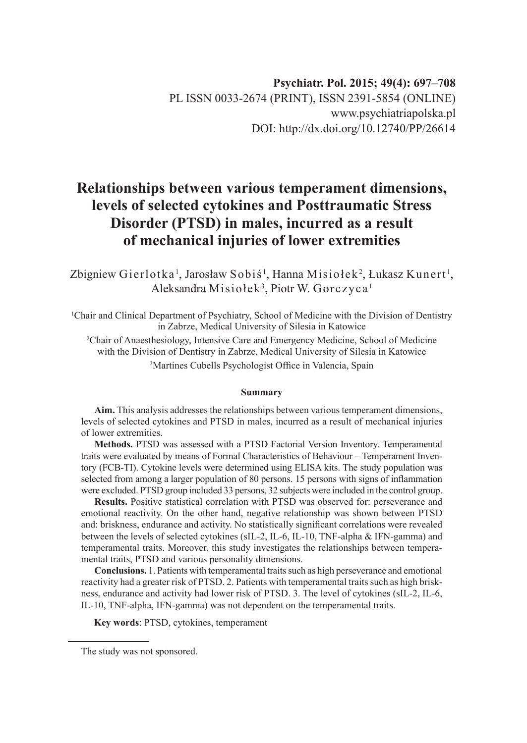# **Relationships between various temperament dimensions, levels of selected cytokines and Posttraumatic Stress Disorder (PTSD) in males, incurred as a result of mechanical injuries of lower extremities**

Zbigniew Gierlotka <sup>1</sup>, Jarosław Sobiś <sup>1</sup>, Hanna Misiołek <sup>2</sup>, Łukasz Kunert <sup>1</sup>, Aleksandra Misiołek<sup>3</sup>, Piotr W. Gorczyca<sup>1</sup>

1 Chair and Clinical Department of Psychiatry, School of Medicine with the Division of Dentistry in Zabrze, Medical University of Silesia in Katowice

2 Chair of Anaesthesiology, Intensive Care and Emergency Medicine, School of Medicine with the Division of Dentistry in Zabrze, Medical University of Silesia in Katowice

3 Martines Cubells Psychologist Office in Valencia, Spain

#### **Summary**

**Aim.** This analysis addresses the relationships between various temperament dimensions, levels of selected cytokines and PTSD in males, incurred as a result of mechanical injuries of lower extremities.

**Methods.** PTSD was assessed with a PTSD Factorial Version Inventory. Temperamental traits were evaluated by means of Formal Characteristics of Behaviour – Temperament Inventory (FCB-TI). Cytokine levels were determined using ELISA kits. The study population was selected from among a larger population of 80 persons. 15 persons with signs of inflammation were excluded. PTSD group included 33 persons, 32 subjects were included in the control group.

**Results.** Positive statistical correlation with PTSD was observed for: perseverance and emotional reactivity. On the other hand, negative relationship was shown between PTSD and: briskness, endurance and activity. No statistically significant correlations were revealed between the levels of selected cytokines (sIL-2, IL-6, IL-10, TNF-alpha & IFN-gamma) and temperamental traits. Moreover, this study investigates the relationships between temperamental traits, PTSD and various personality dimensions.

**Conclusions.** 1. Patients with temperamental traits such as high perseverance and emotional reactivity had a greater risk of PTSD. 2. Patients with temperamental traits such as high briskness, endurance and activity had lower risk of PTSD. 3. The level of cytokines (sIL-2, IL-6, IL-10, TNF-alpha, IFN-gamma) was not dependent on the temperamental traits.

**Key words**: PTSD, cytokines, temperament

The study was not sponsored.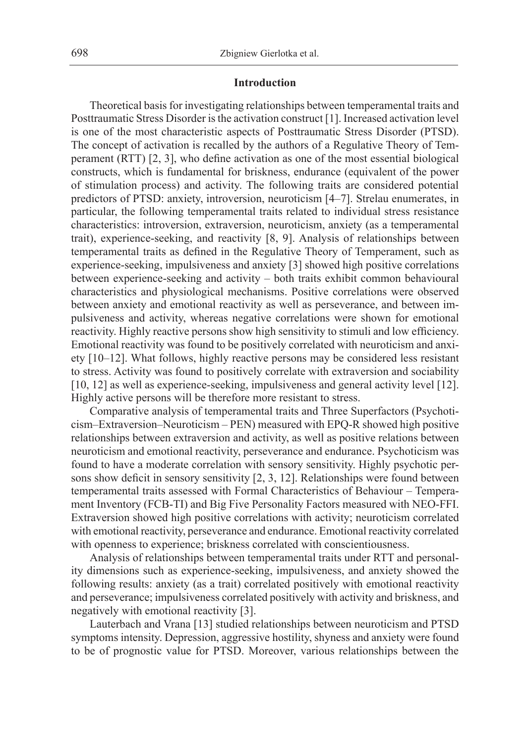#### **Introduction**

Theoretical basis for investigating relationships between temperamental traits and Posttraumatic Stress Disorder is the activation construct [1]. Increased activation level is one of the most characteristic aspects of Posttraumatic Stress Disorder (PTSD). The concept of activation is recalled by the authors of a Regulative Theory of Temperament (RTT) [2, 3], who define activation as one of the most essential biological constructs, which is fundamental for briskness, endurance (equivalent of the power of stimulation process) and activity. The following traits are considered potential predictors of PTSD: anxiety, introversion, neuroticism [4–7]. Strelau enumerates, in particular, the following temperamental traits related to individual stress resistance characteristics: introversion, extraversion, neuroticism, anxiety (as a temperamental trait), experience-seeking, and reactivity [8, 9]. Analysis of relationships between temperamental traits as defined in the Regulative Theory of Temperament, such as experience-seeking, impulsiveness and anxiety [3] showed high positive correlations between experience-seeking and activity – both traits exhibit common behavioural characteristics and physiological mechanisms. Positive correlations were observed between anxiety and emotional reactivity as well as perseverance, and between impulsiveness and activity, whereas negative correlations were shown for emotional reactivity. Highly reactive persons show high sensitivity to stimuli and low efficiency. Emotional reactivity was found to be positively correlated with neuroticism and anxiety [10–12]. What follows, highly reactive persons may be considered less resistant to stress. Activity was found to positively correlate with extraversion and sociability [10, 12] as well as experience-seeking, impulsiveness and general activity level [12]. Highly active persons will be therefore more resistant to stress.

Comparative analysis of temperamental traits and Three Superfactors (Psychoticism–Extraversion*–*Neuroticism – PEN) measured with EPQ-R showed high positive relationships between extraversion and activity, as well as positive relations between neuroticism and emotional reactivity, perseverance and endurance. Psychoticism was found to have a moderate correlation with sensory sensitivity. Highly psychotic persons show deficit in sensory sensitivity [2, 3, 12]. Relationships were found between temperamental traits assessed with Formal Characteristics of Behaviour – Temperament Inventory (FCB-TI) and Big Five Personality Factors measured with NEO-FFI. Extraversion showed high positive correlations with activity; neuroticism correlated with emotional reactivity, perseverance and endurance. Emotional reactivity correlated with openness to experience; briskness correlated with conscientiousness.

Analysis of relationships between temperamental traits under RTT and personality dimensions such as experience-seeking, impulsiveness, and anxiety showed the following results: anxiety (as a trait) correlated positively with emotional reactivity and perseverance; impulsiveness correlated positively with activity and briskness, and negatively with emotional reactivity [3].

Lauterbach and Vrana [13] studied relationships between neuroticism and PTSD symptoms intensity. Depression, aggressive hostility, shyness and anxiety were found to be of prognostic value for PTSD. Moreover, various relationships between the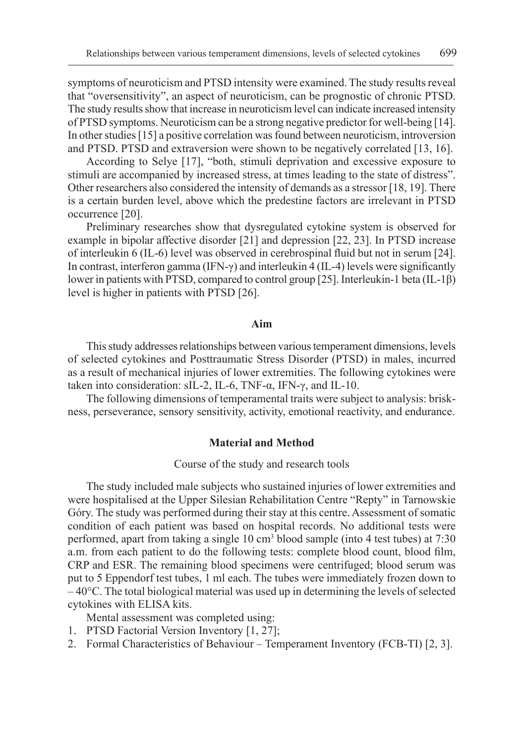symptoms of neuroticism and PTSD intensity were examined. The study results reveal that "oversensitivity", an aspect of neuroticism, can be prognostic of chronic PTSD. The study results show that increase in neuroticism level can indicate increased intensity of PTSD symptoms. Neuroticism can be a strong negative predictor for well-being [14]. In other studies [15] a positive correlation was found between neuroticism, introversion and PTSD. PTSD and extraversion were shown to be negatively correlated [13, 16].

According to Selye [17], "both, stimuli deprivation and excessive exposure to stimuli are accompanied by increased stress, at times leading to the state of distress". Other researchers also considered the intensity of demands as a stressor [18, 19]. There is a certain burden level, above which the predestine factors are irrelevant in PTSD occurrence [20].

Preliminary researches show that dysregulated cytokine system is observed for example in bipolar affective disorder [21] and depression [22, 23]. In PTSD increase of interleukin 6 (IL-6) level was observed in cerebrospinal fluid but not in serum [24]. In contrast, interferon gamma (IFN-γ) and interleukin 4 (IL-4) levels were significantly lower in patients with PTSD, compared to control group [25]. Interleukin-1 beta (IL-1β) level is higher in patients with PTSD [26].

## **Aim**

This study addresses relationships between various temperament dimensions, levels of selected cytokines and Posttraumatic Stress Disorder (PTSD) in males, incurred as a result of mechanical injuries of lower extremities. The following cytokines were taken into consideration: sIL-2, IL-6, TNF-α, IFN-γ, and IL-10.

The following dimensions of temperamental traits were subject to analysis: briskness, perseverance, sensory sensitivity, activity, emotional reactivity, and endurance.

#### **Material and Method**

#### Course of the study and research tools

The study included male subjects who sustained injuries of lower extremities and were hospitalised at the Upper Silesian Rehabilitation Centre "Repty" in Tarnowskie Góry. The study was performed during their stay at this centre. Assessment of somatic condition of each patient was based on hospital records. No additional tests were performed, apart from taking a single 10 cm3 blood sample (into 4 test tubes) at 7:30 a.m. from each patient to do the following tests: complete blood count, blood film, CRP and ESR. The remaining blood specimens were centrifuged; blood serum was put to 5 Eppendorf test tubes, 1 ml each. The tubes were immediately frozen down to – 40°C. The total biological material was used up in determining the levels of selected cytokines with ELISA kits.

Mental assessment was completed using:

- 1. PTSD Factorial Version Inventory [1, 27];
- 2. Formal Characteristics of Behaviour Temperament Inventory (FCB-TI) [2, 3].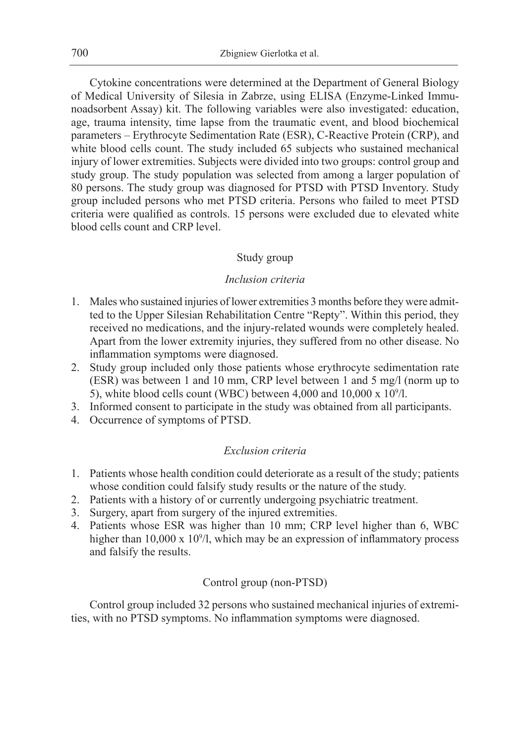Cytokine concentrations were determined at the Department of General Biology of Medical University of Silesia in Zabrze, using ELISA (Enzyme-Linked Immunoadsorbent Assay) kit. The following variables were also investigated: education, age, trauma intensity, time lapse from the traumatic event, and blood biochemical parameters – Erythrocyte Sedimentation Rate (ESR), C-Reactive Protein (CRP), and white blood cells count. The study included 65 subjects who sustained mechanical injury of lower extremities. Subjects were divided into two groups: control group and study group. The study population was selected from among a larger population of 80 persons. The study group was diagnosed for PTSD with PTSD Inventory. Study group included persons who met PTSD criteria. Persons who failed to meet PTSD criteria were qualified as controls. 15 persons were excluded due to elevated white blood cells count and CRP level.

## Study group

## *Inclusion criteria*

- 1. Males who sustained injuries of lower extremities 3 months before they were admitted to the Upper Silesian Rehabilitation Centre "Repty". Within this period, they received no medications, and the injury-related wounds were completely healed. Apart from the lower extremity injuries, they suffered from no other disease. No inflammation symptoms were diagnosed.
- 2. Study group included only those patients whose erythrocyte sedimentation rate (ESR) was between 1 and 10 mm, CRP level between 1 and 5 mg/l (norm up to 5), white blood cells count (WBC) between 4,000 and  $10,000 \times 10^9/1$ .
- 3. Informed consent to participate in the study was obtained from all participants.
- 4. Occurrence of symptoms of PTSD.

### *Exclusion criteria*

- 1. Patients whose health condition could deteriorate as a result of the study; patients whose condition could falsify study results or the nature of the study.
- 2. Patients with a history of or currently undergoing psychiatric treatment.
- 3. Surgery, apart from surgery of the injured extremities.
- 4. Patients whose ESR was higher than 10 mm; CRP level higher than 6, WBC higher than  $10,000 \times 10^9/1$ , which may be an expression of inflammatory process and falsify the results.

## Control group (non-PTSD)

Control group included 32 persons who sustained mechanical injuries of extremities, with no PTSD symptoms. No inflammation symptoms were diagnosed.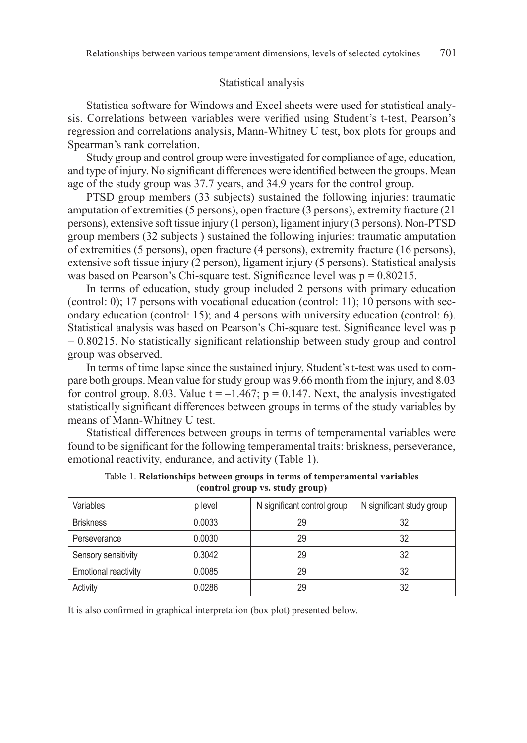#### Statistical analysis

Statistica software for Windows and Excel sheets were used for statistical analysis. Correlations between variables were verified using Student's t-test, Pearson's regression and correlations analysis, Mann-Whitney U test, box plots for groups and Spearman's rank correlation.

Study group and control group were investigated for compliance of age, education, and type of injury. No significant differences were identified between the groups. Mean age of the study group was 37.7 years, and 34.9 years for the control group.

PTSD group members (33 subjects) sustained the following injuries: traumatic amputation of extremities (5 persons), open fracture (3 persons), extremity fracture (21 persons), extensive soft tissue injury (1 person), ligament injury (3 persons). Non-PTSD group members (32 subjects ) sustained the following injuries: traumatic amputation of extremities (5 persons), open fracture (4 persons), extremity fracture (16 persons), extensive soft tissue injury (2 person), ligament injury (5 persons). Statistical analysis was based on Pearson's Chi-square test. Significance level was  $p = 0.80215$ .

In terms of education, study group included 2 persons with primary education (control: 0); 17 persons with vocational education (control: 11); 10 persons with secondary education (control: 15); and 4 persons with university education (control: 6). Statistical analysis was based on Pearson's Chi-square test. Significance level was p  $= 0.80215$ . No statistically significant relationship between study group and control group was observed.

In terms of time lapse since the sustained injury, Student's t-test was used to compare both groups. Mean value for study group was 9.66 month from the injury, and 8.03 for control group. 8.03. Value  $t = -1.467$ ;  $p = 0.147$ . Next, the analysis investigated statistically significant differences between groups in terms of the study variables by means of Mann-Whitney U test.

Statistical differences between groups in terms of temperamental variables were found to be significant for the following temperamental traits: briskness, perseverance, emotional reactivity, endurance, and activity (Table 1).

| Variables                   | p level | N significant control group | N significant study group |
|-----------------------------|---------|-----------------------------|---------------------------|
| <b>Briskness</b>            | 0.0033  | 29                          | 32                        |
| Perseverance                | 0.0030  | 29                          | 32                        |
| Sensory sensitivity         | 0.3042  | 29                          | 32                        |
| <b>Emotional reactivity</b> | 0.0085  | 29                          | 32                        |
| Activity                    | 0.0286  | 29                          | 32                        |

Table 1. **Relationships between groups in terms of temperamental variables (control group vs. study group)**

It is also confirmed in graphical interpretation (box plot) presented below.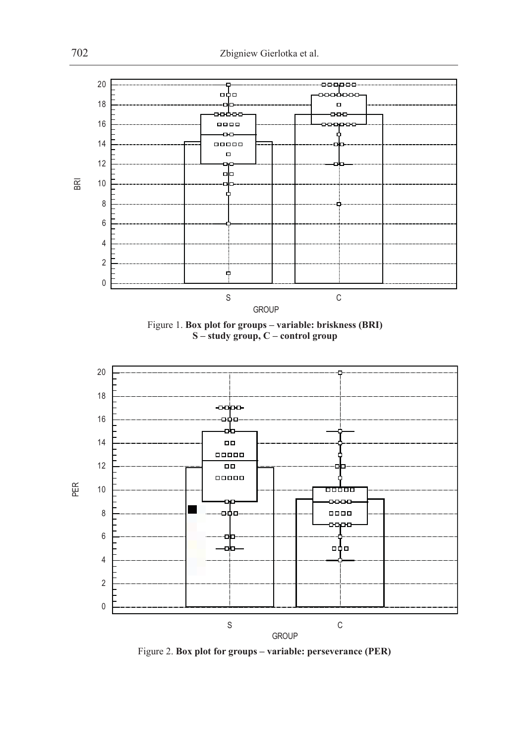





Figure 2. **Box plot for groups – variable: perseverance (PER)**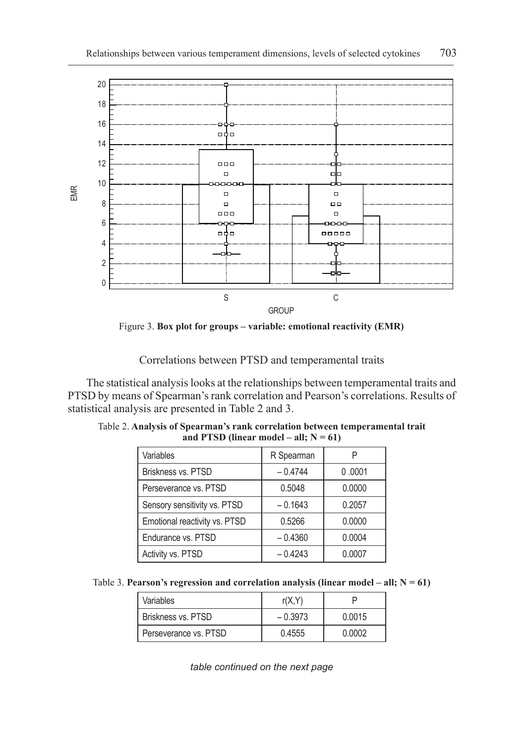

Figure 3. **Box plot for groups – variable: emotional reactivity (EMR)**

Correlations between PTSD and temperamental traits

The statistical analysis looks at the relationships between temperamental traits and PTSD by means of Spearman's rank correlation and Pearson's correlations. Results of statistical analysis are presented in Table 2 and 3.

| Variables                     | R Spearman |        |  |
|-------------------------------|------------|--------|--|
| Briskness vs. PTSD            | $-0.4744$  | 0.0001 |  |
| Perseverance vs. PTSD         | 0.5048     | 0.0000 |  |
| Sensory sensitivity vs. PTSD  | $-0.1643$  | 0.2057 |  |
| Emotional reactivity vs. PTSD | 0.5266     | 0.0000 |  |
| Endurance vs. PTSD            | $-0.4360$  | 0.0004 |  |
| Activity vs. PTSD             | $-0.4243$  | 0.0007 |  |

Table 2. **Analysis of Spearman's rank correlation between temperamental trait** and PTSD (linear model – all;  $N = 61$ )

| Table 3. Pearson's regression and correlation analysis (linear model – all; $N = 61$ ) |  |  |  |  |  |  |
|----------------------------------------------------------------------------------------|--|--|--|--|--|--|
|----------------------------------------------------------------------------------------|--|--|--|--|--|--|

| Variables             | r(X, Y)   |        |  |
|-----------------------|-----------|--------|--|
| Briskness vs. PTSD    | $-0.3973$ | 0.0015 |  |
| Perseverance vs. PTSD | 0.4555    | 0.0002 |  |

*table continued on the next page*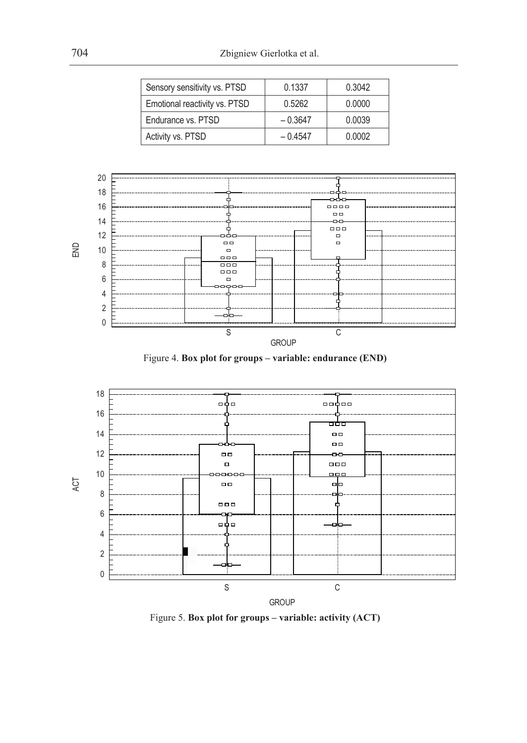| Sensory sensitivity vs. PTSD  | 0.1337    | 0.3042 |
|-------------------------------|-----------|--------|
| Emotional reactivity vs. PTSD | 0.5262    | 0.0000 |
| Endurance vs. PTSD            | $-0.3647$ | 0.0039 |
| Activity vs. PTSD             | $-0.4547$ | 0.0002 |







Figure 5. **Box plot for groups – variable: activity (ACT)**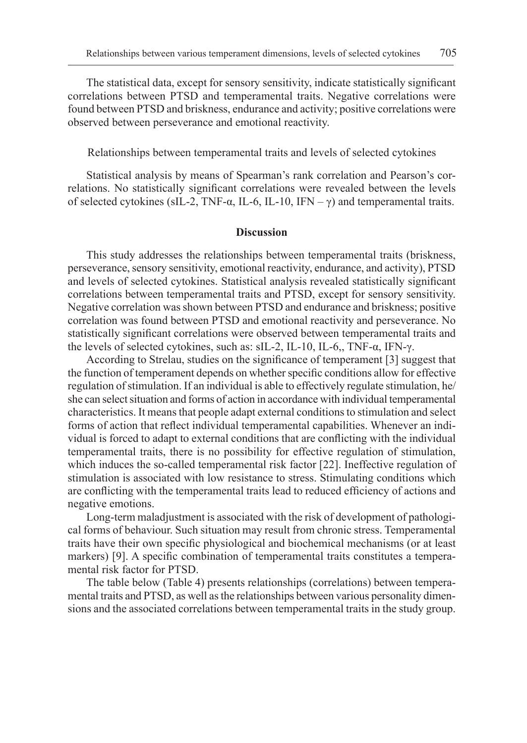The statistical data, except for sensory sensitivity, indicate statistically significant correlations between PTSD and temperamental traits. Negative correlations were found between PTSD and briskness, endurance and activity; positive correlations were observed between perseverance and emotional reactivity.

Relationships between temperamental traits and levels of selected cytokines

Statistical analysis by means of Spearman's rank correlation and Pearson's correlations. No statistically significant correlations were revealed between the levels of selected cytokines (sIL-2, TNF-α, IL-6, IL-10, IFN – γ) and temperamental traits.

#### **Discussion**

This study addresses the relationships between temperamental traits (briskness, perseverance, sensory sensitivity, emotional reactivity, endurance, and activity), PTSD and levels of selected cytokines. Statistical analysis revealed statistically significant correlations between temperamental traits and PTSD, except for sensory sensitivity. Negative correlation was shown between PTSD and endurance and briskness; positive correlation was found between PTSD and emotional reactivity and perseverance. No statistically significant correlations were observed between temperamental traits and the levels of selected cytokines, such as: sIL-2, IL-10, IL-6,, TNF-α, IFN-γ.

According to Strelau, studies on the significance of temperament [3] suggest that the function of temperament depends on whether specific conditions allow for effective regulation of stimulation. If an individual is able to effectively regulate stimulation, he/ she can select situation and forms of action in accordance with individual temperamental characteristics. It means that people adapt external conditions to stimulation and select forms of action that reflect individual temperamental capabilities. Whenever an individual is forced to adapt to external conditions that are conflicting with the individual temperamental traits, there is no possibility for effective regulation of stimulation, which induces the so-called temperamental risk factor [22]. Ineffective regulation of stimulation is associated with low resistance to stress. Stimulating conditions which are conflicting with the temperamental traits lead to reduced efficiency of actions and negative emotions.

Long-term maladjustment is associated with the risk of development of pathological forms of behaviour. Such situation may result from chronic stress. Temperamental traits have their own specific physiological and biochemical mechanisms (or at least markers) [9]. A specific combination of temperamental traits constitutes a temperamental risk factor for PTSD.

The table below (Table 4) presents relationships (correlations) between temperamental traits and PTSD, as well as the relationships between various personality dimensions and the associated correlations between temperamental traits in the study group.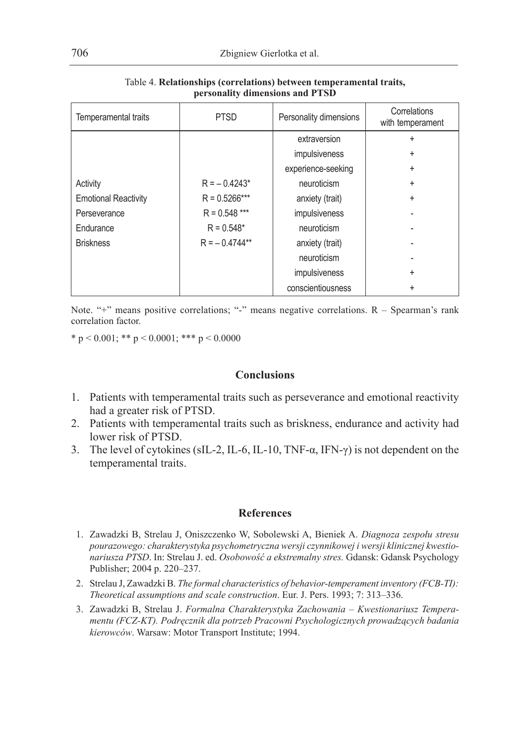| Temperamental traits        | <b>PTSD</b>     | Personality dimensions | Correlations<br>with temperament |
|-----------------------------|-----------------|------------------------|----------------------------------|
|                             |                 | extraversion           | ÷                                |
|                             |                 | impulsiveness          | ÷                                |
|                             |                 | experience-seeking     | ÷                                |
| Activity                    | $R = -0.4243*$  | neuroticism            | ÷                                |
| <b>Emotional Reactivity</b> | $R = 0.5266***$ | anxiety (trait)        | ÷                                |
| Perseverance                | $R = 0.548$ *** | impulsiveness          |                                  |
| Endurance                   | $R = 0.548*$    | neuroticism            |                                  |
| <b>Briskness</b>            | $R = -0.4744**$ | anxiety (trait)        |                                  |
|                             |                 | neuroticism            |                                  |
|                             |                 | impulsiveness          | ÷                                |
|                             |                 | conscientiousness      | ÷                                |

Table 4. **Relationships (correlations) between temperamental traits, personality dimensions and PTSD**

Note. "+" means positive correlations; "-" means negative correlations. R - Spearman's rank correlation factor.

\* p < 0.001; \*\* p < 0.0001; \*\*\* p < 0.0000

### **Conclusions**

- 1. Patients with temperamental traits such as perseverance and emotional reactivity had a greater risk of PTSD.
- 2. Patients with temperamental traits such as briskness, endurance and activity had lower risk of PTSD.
- 3. The level of cytokines (sIL-2, IL-6, IL-10, TNF-α, IFN-γ) is not dependent on the temperamental traits.

## **References**

- 1. Zawadzki B, Strelau J, Oniszczenko W, Sobolewski A, Bieniek A. *Diagnoza zespołu stresu pourazowego: charakterystyka psychometryczna wersji czynnikowej i wersji klinicznej kwestionariusza PTSD*. In: Strelau J. ed. *Osobowość a ekstremalny stres.* Gdansk: Gdansk Psychology Publisher; 2004 p. 220–237.
- 2. Strelau J, Zawadzki B. *The formal characteristics of behavior-temperament inventory (FCB-TI): Theoretical assumptions and scale construction*. Eur. J. Pers. 1993; 7: 313–336.
- 3. Zawadzki B, Strelau J. *Formalna Charakterystyka Zachowania Kwestionariusz Temperamentu (FCZ-KT). Podręcznik dla potrzeb Pracowni Psychologicznych prowadzących badania kierowców*. Warsaw: Motor Transport Institute; 1994.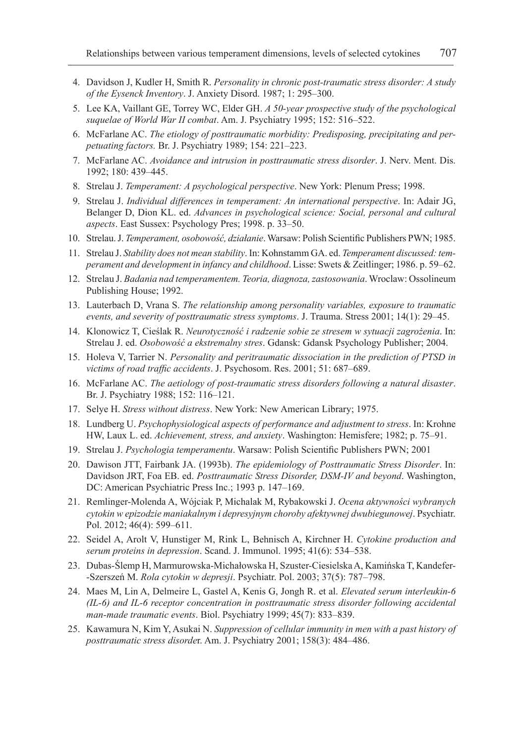- 4. Davidson J, Kudler H, Smith R. *Personality in chronic post-traumatic stress disorder: A study of the Eysenck Inventory*. J. Anxiety Disord. 1987; 1: 295–300.
- 5. Lee KA, Vaillant GE, Torrey WC, Elder GH. *A 50-year prospective study of the psychological suquelae of World War II combat*. Am. J. Psychiatry 1995; 152: 516–522.
- 6. McFarlane AC. *The etiology of posttraumatic morbidity: Predisposing, precipitating and perpetuating factors.* Br. J. Psychiatry 1989; 154: 221–223.
- 7. McFarlane AC. *Avoidance and intrusion in posttraumatic stress disorder*. J. Nerv. Ment. Dis. 1992; 180: 439–445.
- 8. Strelau J. *Temperament: A psychological perspective*. New York: Plenum Press; 1998.
- 9. Strelau J. *Individual differences in temperament: An international perspective*. In: Adair JG, Belanger D, Dion KL. ed. *Advances in psychological science: Social, personal and cultural aspects*. East Sussex: Psychology Pres; 1998. p. 33–50.
- 10. Strelau. J. *Temperament, osobowość, działanie*. Warsaw: Polish Scientific Publishers PWN; 1985.
- 11. Strelau J. *Stability does not mean stability*. In: Kohnstamm GA. ed. *Temperament discussed: temperament and development in infancy and childhood*. Lisse: Swets & Zeitlinger; 1986. p. 59–62.
- 12. Strelau J. *Badania nad temperamentem. Teoria, diagnoza, zastosowania*. Wroclaw: Ossolineum Publishing House; 1992.
- 13. Lauterbach D, Vrana S. *The relationship among personality variables, exposure to traumatic events, and severity of posttraumatic stress symptoms*. J. Trauma. Stress 2001; 14(1): 29–45.
- 14. Klonowicz T, Cieślak R. *Neurotyczność i radzenie sobie ze stresem w sytuacji zagrożenia*. In: Strelau J. ed. *Osobowość a ekstremalny stres*. Gdansk: Gdansk Psychology Publisher; 2004.
- 15. Holeva V, Tarrier N. *Personality and peritraumatic dissociation in the prediction of PTSD in victims of road traffic accidents*. J. Psychosom. Res. 2001; 51: 687–689.
- 16. McFarlane AC. *The aetiology of post-traumatic stress disorders following a natural disaster*. Br. J. Psychiatry 1988; 152: 116–121.
- 17. Selye H. *Stress without distress*. New York: New American Library; 1975.
- 18. Lundberg U. *Psychophysiological aspects of performance and adjustment to stress*. In: Krohne HW, Laux L. ed. *Achievement, stress, and anxiety*. Washington: Hemisfere; 1982; p. 75–91.
- 19. Strelau J. *Psychologia temperamentu*. Warsaw: Polish Scientific Publishers PWN; 2001
- 20. Dawison JTT, Fairbank JA. (1993b). *The epidemiology of Posttraumatic Stress Disorder*. In: Davidson JRT, Foa EB. ed. *Posttraumatic Stress Disorder, DSM-IV and beyond*. Washington, DC: American Psychiatric Press Inc.; 1993 p. 147–169.
- 21. Remlinger-Molenda A, Wójciak P, Michalak M, Rybakowski J. *Ocena aktywności wybranych cytokin w epizodzie maniakalnym i depresyjnym choroby afektywnej dwubiegunowej*. Psychiatr. Pol. 2012; 46(4): 599–611.
- 22. Seidel A, Arolt V, Hunstiger M, Rink L, Behnisch A, Kirchner H. *Cytokine production and serum proteins in depression*. Scand. J. Immunol. 1995; 41(6): 534–538.
- 23. Dubas-Ślemp H, Marmurowska-Michałowska H, Szuster-Ciesielska A, Kamińska T, Kandefer- -Szerszeń M. *Rola cytokin w depresji*. Psychiatr. Pol. 2003; 37(5): 787–798.
- 24. Maes M, Lin A, Delmeire L, Gastel A, Kenis G, Jongh R. et al. *Elevated serum interleukin-6 (IL-6) and IL-6 receptor concentration in posttraumatic stress disorder following accidental man-made traumatic events*. Biol. Psychiatry 1999; 45(7): 833–839.
- 25. Kawamura N, Kim Y, Asukai N. *Suppression of cellular immunity in men with a past history of posttraumatic stress disorde*r. Am. J. Psychiatry 2001; 158(3): 484–486.